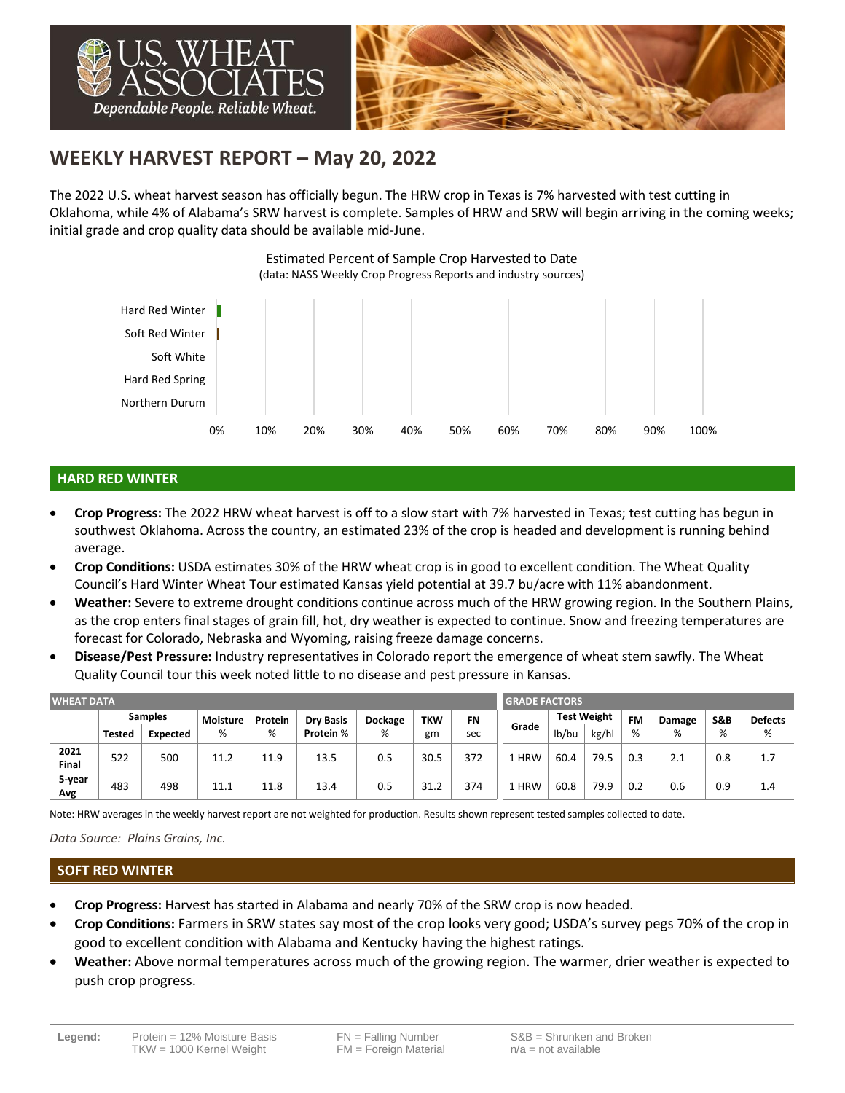

# **WEEKLY HARVEST REPORT – May 20, 2022**

The 2022 U.S. wheat harvest season has officially begun. The HRW crop in Texas is 7% harvested with test cutting in Oklahoma, while 4% of Alabama's SRW harvest is complete. Samples of HRW and SRW will begin arriving in the coming weeks; initial grade and crop quality data should be available mid-June.



# **HARD RED WINTER**

- **Crop Progress:** The 2022 HRW wheat harvest is off to a slow start with 7% harvested in Texas; test cutting has begun in southwest Oklahoma. Across the country, an estimated 23% of the crop is headed and development is running behind average.
- **Crop Conditions:** USDA estimates 30% of the HRW wheat crop is in good to excellent condition. The Wheat Quality Council's Hard Winter Wheat Tour estimated Kansas yield potential at 39.7 bu/acre with 11% abandonment.
- **Weather:** Severe to extreme drought conditions continue across much of the HRW growing region. In the Southern Plains, as the crop enters final stages of grain fill, hot, dry weather is expected to continue. Snow and freezing temperatures are forecast for Colorado, Nebraska and Wyoming, raising freeze damage concerns.
- **Disease/Pest Pressure:** Industry representatives in Colorado report the emergence of wheat stem sawfly. The Wheat Quality Council tour this week noted little to no disease and pest pressure in Kansas.

| <b>WHEAT DATA</b> |                |                 |          |         |                  |                |            |           |       | <b>GRADE FACTORS</b> |       |           |        |                |                |  |  |
|-------------------|----------------|-----------------|----------|---------|------------------|----------------|------------|-----------|-------|----------------------|-------|-----------|--------|----------------|----------------|--|--|
|                   | <b>Samples</b> |                 | Moisture | Protein | <b>Dry Basis</b> | <b>Dockage</b> | <b>TKW</b> | <b>FN</b> | Grade | <b>Test Weight</b>   |       | <b>FM</b> | Damage | <b>S&amp;B</b> | <b>Defects</b> |  |  |
|                   | <b>Tested</b>  | <b>Expected</b> | %        | %       | Protein %        | %              | gm         | sec       |       | lb/bu                | kg/hl | %         | %      | %              | %              |  |  |
| 2021<br>Final     | 522            | 500             | 11.2     | 11.9    | 13.5             | 0.5            | 30.5       | 372       | 1 HRW | 60.4                 | 79.5  | 0.3       | 2.1    | 0.8            | 1.7            |  |  |
| 5-year<br>Avg     | 483            | 498             | 11.1     | 11.8    | 13.4             | 0.5            | 31.2       | 374       | 1 HRW | 60.8                 | 79.9  | 0.2       | 0.6    | 0.9            | 1.4            |  |  |

Note: HRW averages in the weekly harvest report are not weighted for production. Results shown represent tested samples collected to date.

#### *Data Source: Plains Grains, Inc.*

#### **SOFT RED WINTER**

- **Crop Progress:** Harvest has started in Alabama and nearly 70% of the SRW crop is now headed.
- **Crop Conditions:** Farmers in SRW states say most of the crop looks very good; USDA's survey pegs 70% of the crop in good to excellent condition with Alabama and Kentucky having the highest ratings.
- **Weather:** Above normal temperatures across much of the growing region. The warmer, drier weather is expected to push crop progress.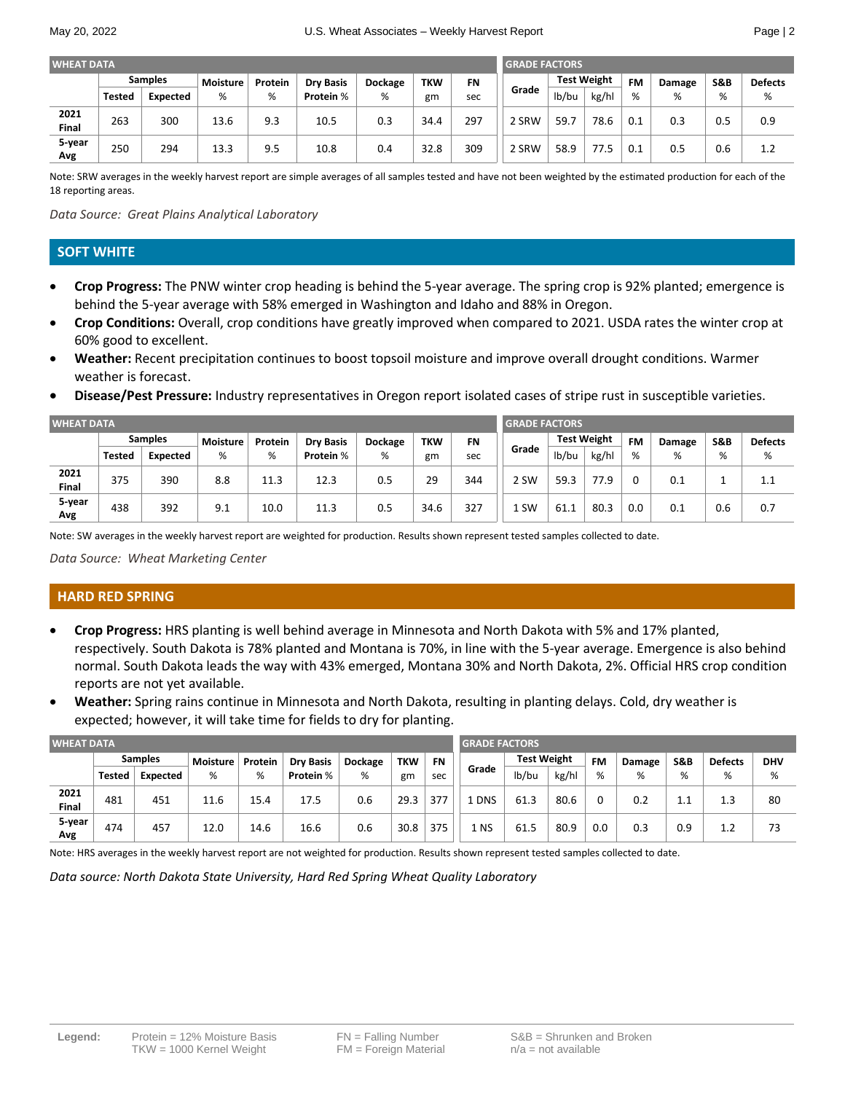| <b>WHEAT DATA</b> |                |                 |          |         |                  |                |            |           |       | <b>GRADE FACTORS</b> |                                 |     |        |     |                |  |
|-------------------|----------------|-----------------|----------|---------|------------------|----------------|------------|-----------|-------|----------------------|---------------------------------|-----|--------|-----|----------------|--|
|                   | <b>Samples</b> |                 | Moisture | Protein | <b>Drv Basis</b> | <b>Dockage</b> | <b>TKW</b> | <b>FN</b> |       |                      | <b>Test Weight</b><br><b>FM</b> |     | Damage | S&B | <b>Defects</b> |  |
|                   | Tested         | <b>Expected</b> | %        | %       | Protein %        | %              | gm         | sec       | Grade | lb/bu                | kg/hl                           | %   | %      | %   | %              |  |
| 2021<br>Final     | 263            | 300             | 13.6     | 9.3     | 10.5             | 0.3            | 34.4       | 297       | 2 SRW | 59.7                 | 78.6                            | 0.1 | 0.3    | 0.5 | 0.9            |  |
| 5-year<br>Avg     | 250            | 294             | 13.3     | 9.5     | 10.8             | 0.4            | 32.8       | 309       | 2 SRW | 58.9                 | 77.5                            | 0.1 | 0.5    | 0.6 | 1.2            |  |

Note: SRW averages in the weekly harvest report are simple averages of all samples tested and have not been weighted by the estimated production for each of the 18 reporting areas.

*Data Source: Great Plains Analytical Laboratory*

### **SOFT WHITE**

- **Crop Progress:** The PNW winter crop heading is behind the 5-year average. The spring crop is 92% planted; emergence is behind the 5-year average with 58% emerged in Washington and Idaho and 88% in Oregon.
- **Crop Conditions:** Overall, crop conditions have greatly improved when compared to 2021. USDA rates the winter crop at 60% good to excellent.
- **Weather:** Recent precipitation continues to boost topsoil moisture and improve overall drought conditions. Warmer weather is forecast.
- **Disease/Pest Pressure:** Industry representatives in Oregon report isolated cases of stripe rust in susceptible varieties.

| <b>WHEAT DATA</b> |                |          |          |         |                  |                |            |           | <b>GRADE FACTORS</b> |                    |       |           |        |                |                |  |
|-------------------|----------------|----------|----------|---------|------------------|----------------|------------|-----------|----------------------|--------------------|-------|-----------|--------|----------------|----------------|--|
|                   | <b>Samples</b> |          | Moisture | Protein | <b>Drv Basis</b> | <b>Dockage</b> | <b>TKW</b> | <b>FN</b> |                      | <b>Test Weight</b> |       | <b>FM</b> | Damage | <b>S&amp;B</b> | <b>Defects</b> |  |
|                   | <b>Tested</b>  | Expected | %        | %       | Protein %        | %              | gm         | sec       | Grade                | lb/bu              | kg/hl | %         | %      | %              | %              |  |
| 2021<br>Final     | 375            | 390      | 8.8      | 11.3    | 12.3             | 0.5            | 29         | 344       | 2 SW                 | 59.3               | 77.9  |           | 0.1    |                | 1.1            |  |
| 5-year<br>Avg     | 438            | 392      | 9.1      | 10.0    | 11.3             | 0.5            | 34.6       | 327       | 1 SW                 | 61.1               | 80.3  | 0.0       | 0.1    | 0.6            | 0.7            |  |

Note: SW averages in the weekly harvest report are weighted for production. Results shown represent tested samples collected to date.

*Data Source: Wheat Marketing Center*

#### **HARD RED SPRING**

- **Crop Progress:** HRS planting is well behind average in Minnesota and North Dakota with 5% and 17% planted, respectively. South Dakota is 78% planted and Montana is 70%, in line with the 5-year average. Emergence is also behind normal. South Dakota leads the way with 43% emerged, Montana 30% and North Dakota, 2%. Official HRS crop condition reports are not yet available.
- **Weather:** Spring rains continue in Minnesota and North Dakota, resulting in planting delays. Cold, dry weather is expected; however, it will take time for fields to dry for planting.

| <b>WHEAT DATA</b> |                |          |                 |         |                  |                |            |           | <b>GRADE FACTORS</b> |                    |       |     |        |                |                |            |  |
|-------------------|----------------|----------|-----------------|---------|------------------|----------------|------------|-----------|----------------------|--------------------|-------|-----|--------|----------------|----------------|------------|--|
|                   | <b>Samples</b> |          | <b>Moisture</b> | Protein | <b>Dry Basis</b> | <b>Dockage</b> | <b>TKW</b> | <b>FN</b> |                      | <b>Test Weight</b> |       | FM  | Damage | <b>S&amp;B</b> | <b>Defects</b> | <b>DHV</b> |  |
|                   | <b>Tested</b>  | Expected | %               | %       | Protein %        | %              | gm         | sec       | Grade                | lb/bu              | kg/hl | %   | %      | %              | %              | %          |  |
| 2021<br>Final     | 481            | 451      | 11.6            | 15.4    | 17.5             | 0.6            | 29.3       | 377       | <b>DNS</b>           | 61.3               | 80.6  |     | 0.2    | $1.1\,$        | 1.3            | 80         |  |
| 5-year<br>Avg     | 474            | 457      | 12.0            | 14.6    | 16.6             | 0.6            | 30.8       | 375       | 1 NS                 | 61.5               | 80.9  | 0.0 | 0.3    | 0.9            | 1.2            | 73         |  |

Note: HRS averages in the weekly harvest report are not weighted for production. Results shown represent tested samples collected to date.

*Data source: North Dakota State University, Hard Red Spring Wheat Quality Laboratory*